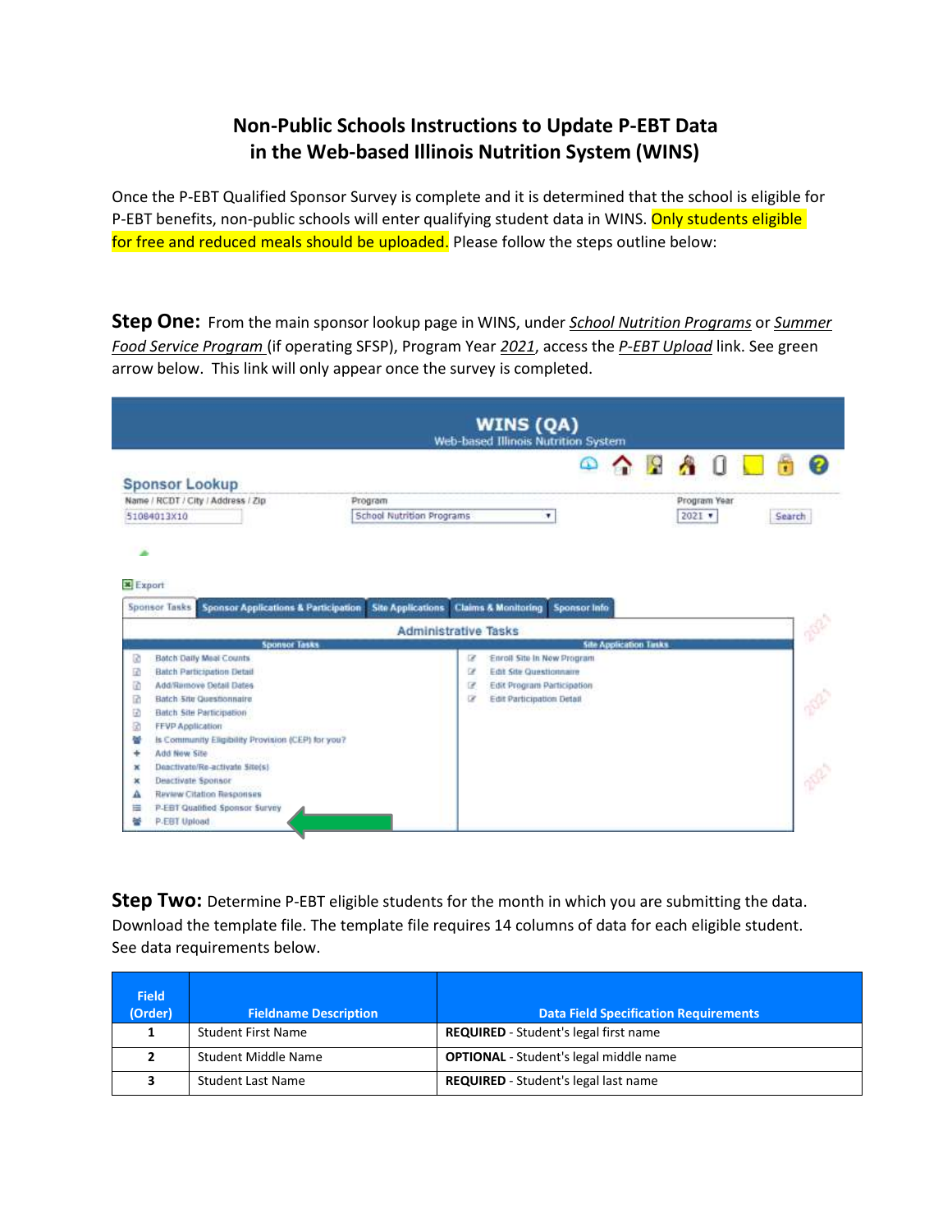## **Non-Public Schools Instructions to Update P-EBT Data in the Web-based Illinois Nutrition System (WINS)**

Once the P-EBT Qualified Sponsor Survey is complete and it is determined that the school is eligible for P-EBT benefits, non-public schools will enter qualifying student data in WINS. Only students eligible for free and reduced meals should be uploaded. Please follow the steps outline below:

**Step One:** From the main sponsor lookup page in WINS, under *School Nutrition Programs* or *Summer Food Service Program* (if operating SFSP), Program Year *2021*, access the *P-EBT Upload* link. See green arrow below. This link will only appear once the survey is completed.

|        | <b>WINS (QA)</b><br>Web-based Illinois Nutrition System                 |         |                          |                             |                |                                |                            |                     |  |                               |            |              |  |        |  |
|--------|-------------------------------------------------------------------------|---------|--------------------------|-----------------------------|----------------|--------------------------------|----------------------------|---------------------|--|-------------------------------|------------|--------------|--|--------|--|
|        | <b>Sponsor Lookup</b>                                                   |         |                          |                             |                |                                |                            | ☎                   |  | $\sim$ $\Omega$ $\Lambda$     |            |              |  |        |  |
|        | Name / RCDT / City / Address / Zip                                      | Program |                          |                             |                |                                |                            |                     |  |                               |            | Program Year |  |        |  |
|        | 51084013X10                                                             |         |                          | School Nutrition Programs   |                |                                | v                          |                     |  |                               | $2021$ $*$ |              |  | Search |  |
|        | <b>*</b> Export                                                         |         |                          |                             |                |                                |                            |                     |  |                               |            |              |  |        |  |
|        | <b>Sponsor Applications &amp; Participation</b><br><b>Sponsor Tasks</b> |         | <b>Site Applications</b> | <b>Administrative Tasks</b> |                | <b>Claims &amp; Monitoring</b> |                            | <b>Sponsor Info</b> |  |                               |            |              |  |        |  |
|        | <b>Sponsor Tasks</b>                                                    |         |                          |                             |                |                                |                            |                     |  | <b>Site Application Tasks</b> |            |              |  |        |  |
| ø      | Batch Daily Meal Counts                                                 |         |                          |                             | œ              |                                | Enroll Site In New Program |                     |  |                               |            |              |  |        |  |
| 國      | <b>Batch Participation Detail</b>                                       |         |                          |                             | u              |                                | Edit Site Questionnaire    |                     |  |                               |            |              |  |        |  |
| 团      | Add/Remove Detail Dates                                                 |         |                          |                             | $\overline{r}$ |                                | Edit Program Participation |                     |  |                               |            |              |  |        |  |
| 团      | Batch 5/to Questionnaire                                                |         |                          |                             | œ              |                                | Edit Participation Detail  |                     |  |                               |            |              |  |        |  |
| ø      | Batch Site Participation                                                |         |                          |                             |                |                                |                            |                     |  |                               |            |              |  |        |  |
| 团      | <b>FEVP Application</b>                                                 |         |                          |                             |                |                                |                            |                     |  |                               |            |              |  |        |  |
| 븧      | Is Community Eligibility Provision (CEP) for you?                       |         |                          |                             |                |                                |                            |                     |  |                               |            |              |  |        |  |
| ¥      | Add New Site                                                            |         |                          |                             |                |                                |                            |                     |  |                               |            |              |  |        |  |
| ×      | Deactivate/Re-activate Site(s)                                          |         |                          |                             |                |                                |                            |                     |  |                               |            |              |  |        |  |
| ×      | <b>Deactivate Sponsor</b>                                               |         |                          |                             |                |                                |                            |                     |  |                               |            |              |  |        |  |
| Α<br>亖 | Review Citation Responses<br>P-EBT Qualified Sponsor Survey             |         |                          |                             |                |                                |                            |                     |  |                               |            |              |  |        |  |

**Step Two:** Determine P-EBT eligible students for the month in which you are submitting the data. Download the template file. The template file requires 14 columns of data for each eligible student. See data requirements below.

| <b>Field</b><br>(Order) | <b>Fieldname Description</b> | <b>Data Field Specification Requirements</b>  |
|-------------------------|------------------------------|-----------------------------------------------|
|                         | <b>Student First Name</b>    | <b>REQUIRED</b> - Student's legal first name  |
|                         | Student Middle Name          | <b>OPTIONAL</b> - Student's legal middle name |
|                         | Student Last Name            | <b>REQUIRED</b> - Student's legal last name   |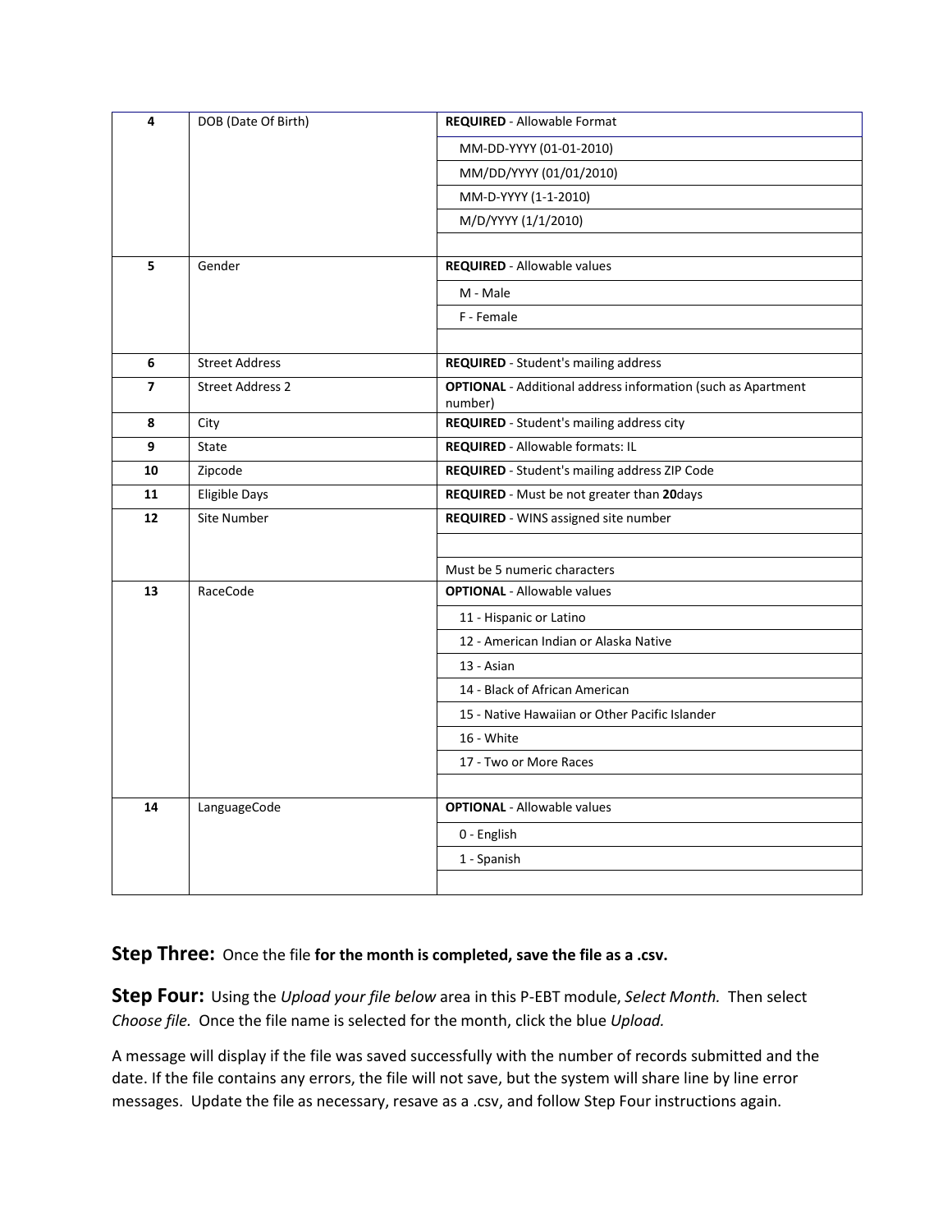| 4              | DOB (Date Of Birth)     | <b>REQUIRED - Allowable Format</b>                                             |
|----------------|-------------------------|--------------------------------------------------------------------------------|
|                |                         | MM-DD-YYYY (01-01-2010)                                                        |
|                |                         | MM/DD/YYYY (01/01/2010)                                                        |
|                |                         | MM-D-YYYY (1-1-2010)                                                           |
|                |                         | M/D/YYYY (1/1/2010)                                                            |
|                |                         |                                                                                |
| 5              | Gender                  | <b>REQUIRED</b> - Allowable values                                             |
|                |                         | M - Male                                                                       |
|                |                         | F - Female                                                                     |
|                |                         |                                                                                |
| 6              | <b>Street Address</b>   | REQUIRED - Student's mailing address                                           |
| $\overline{ }$ | <b>Street Address 2</b> | <b>OPTIONAL</b> - Additional address information (such as Apartment<br>number) |
| 8              | City                    | REQUIRED - Student's mailing address city                                      |
| 9              | State                   | <b>REQUIRED - Allowable formats: IL</b>                                        |
| 10             | Zipcode                 | REQUIRED - Student's mailing address ZIP Code                                  |
| 11             | <b>Eligible Days</b>    | REQUIRED - Must be not greater than 20days                                     |
| 12             | Site Number             | REQUIRED - WINS assigned site number                                           |
|                |                         |                                                                                |
|                |                         | Must be 5 numeric characters                                                   |
| 13             | RaceCode                | <b>OPTIONAL</b> - Allowable values                                             |
|                |                         | 11 - Hispanic or Latino                                                        |
|                |                         | 12 - American Indian or Alaska Native                                          |
|                |                         | 13 - Asian                                                                     |
|                |                         | 14 - Black of African American                                                 |
|                |                         | 15 - Native Hawaiian or Other Pacific Islander                                 |
|                |                         | 16 - White                                                                     |
|                |                         | 17 - Two or More Races                                                         |
|                |                         |                                                                                |
| 14             | LanguageCode            | <b>OPTIONAL</b> - Allowable values                                             |
|                |                         | 0 - English                                                                    |
|                |                         | 1 - Spanish                                                                    |
|                |                         |                                                                                |

## **Step Three:** Once the file **for the month is completed, save the file as a .csv.**

**Step Four:** Using the *Upload your file below* area in this P-EBT module, *Select Month.* Then select *Choose file.* Once the file name is selected for the month, click the blue *Upload.*

A message will display if the file was saved successfully with the number of records submitted and the date. If the file contains any errors, the file will not save, but the system will share line by line error messages. Update the file as necessary, resave as a .csv, and follow Step Four instructions again.